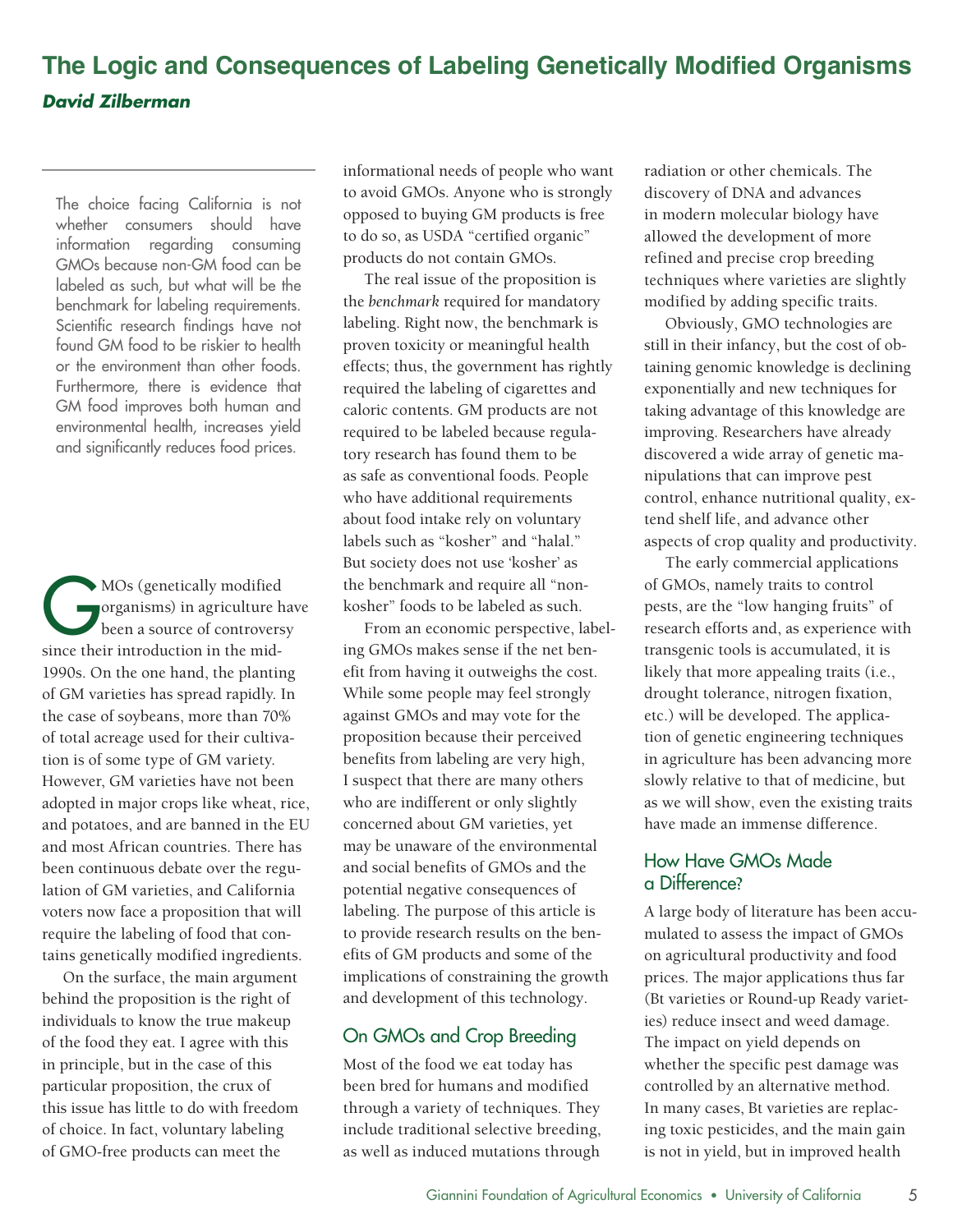# **The Logic and Consequences of Labeling Genetically Modified Organisms** *David Zilberman*

 Furthermore, there is evidence that The choice facing California is not whether consumers should have information regarding consuming GMOs because non-GM food can be labeled as such, but what will be the benchmark for labeling requirements. Scientific research findings have not found GM food to be riskier to health or the environment than other foods. GM food improves both human and environmental health, increases yield and significantly reduces food prices.

MOs (genetically modified<br>organisms) in agriculture h<br>been a source of controvers organisms) in agriculture have been a source of controversy since their introduction in the mid-1990s. On the one hand, the planting of GM varieties has spread rapidly. In the case of soybeans, more than 70% of total acreage used for their cultivation is of some type of GM variety. However, GM varieties have not been adopted in major crops like wheat, rice, and potatoes, and are banned in the EU and most African countries. There has been continuous debate over the regulation of GM varieties, and California voters now face a proposition that will require the labeling of food that contains genetically modified ingredients.

On the surface, the main argument behind the proposition is the right of individuals to know the true makeup of the food they eat. I agree with this in principle, but in the case of this particular proposition, the crux of this issue has little to do with freedom of choice. In fact, voluntary labeling of GMO-free products can meet the

informational needs of people who want to avoid GMOs. Anyone who is strongly opposed to buying GM products is free to do so, as USDA "certified organic" products do not contain GMOs.

The real issue of the proposition is the *benchmark* required for mandatory labeling. Right now, the benchmark is proven toxicity or meaningful health effects; thus, the government has rightly required the labeling of cigarettes and caloric contents. GM products are not required to be labeled because regulatory research has found them to be as safe as conventional foods. People who have additional requirements about food intake rely on voluntary labels such as "kosher" and "halal." But society does not use 'kosher' as the benchmark and require all "nonkosher" foods to be labeled as such.

From an economic perspective, labeling GMOs makes sense if the net benefit from having it outweighs the cost. While some people may feel strongly against GMOs and may vote for the proposition because their perceived benefits from labeling are very high, I suspect that there are many others who are indifferent or only slightly concerned about GM varieties, yet may be unaware of the environmental and social benefits of GMOs and the potential negative consequences of labeling. The purpose of this article is to provide research results on the benefits of GM products and some of the implications of constraining the growth and development of this technology.

## On GMOs and Crop Breeding

Most of the food we eat today has been bred for humans and modified through a variety of techniques. They include traditional selective breeding, as well as induced mutations through

radiation or other chemicals. The discovery of DNA and advances in modern molecular biology have allowed the development of more refined and precise crop breeding techniques where varieties are slightly modified by adding specific traits.

Obviously, GMO technologies are still in their infancy, but the cost of obtaining genomic knowledge is declining exponentially and new techniques for taking advantage of this knowledge are improving. Researchers have already discovered a wide array of genetic manipulations that can improve pest control, enhance nutritional quality, extend shelf life, and advance other aspects of crop quality and productivity.

The early commercial applications of GMOs, namely traits to control pests, are the "low hanging fruits" of research efforts and, as experience with transgenic tools is accumulated, it is likely that more appealing traits (i.e., drought tolerance, nitrogen fixation, etc.) will be developed. The application of genetic engineering techniques in agriculture has been advancing more slowly relative to that of medicine, but as we will show, even the existing traits have made an immense difference.

## How Have GMOs Made a Difference**?**

A large body of literature has been accumulated to assess the impact of GMOs on agricultural productivity and food prices. The major applications thus far (Bt varieties or Round-up Ready varieties) reduce insect and weed damage. The impact on yield depends on whether the specific pest damage was controlled by an alternative method. In many cases, Bt varieties are replacing toxic pesticides, and the main gain is not in yield, but in improved health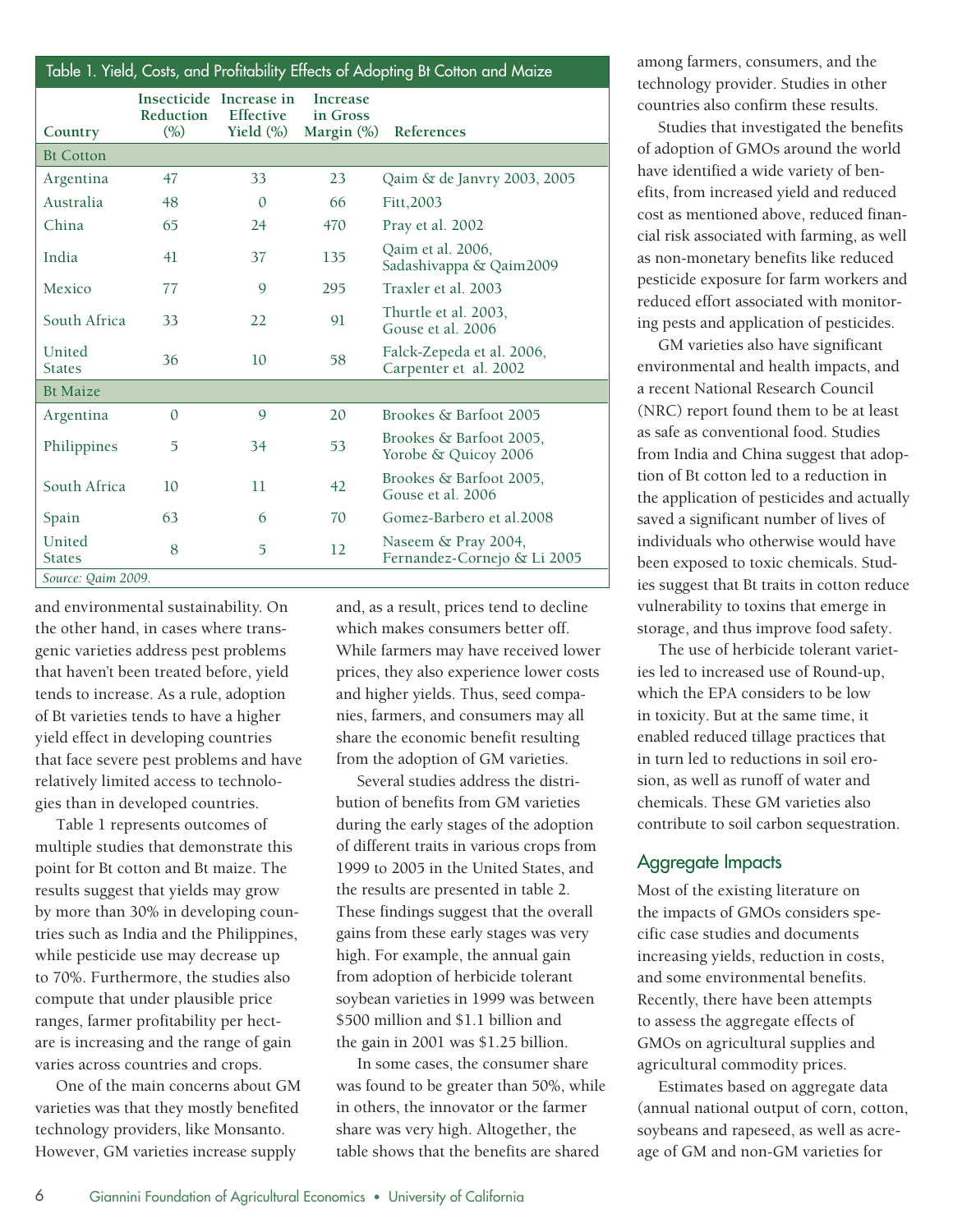| Table 1. Yield, Costs, and Protitability Etfects of Adopting Bt Cotton and Maize |                   |                                                             |                                              |                                                    |  |  |  |  |  |
|----------------------------------------------------------------------------------|-------------------|-------------------------------------------------------------|----------------------------------------------|----------------------------------------------------|--|--|--|--|--|
| Country                                                                          | Reduction<br>(% ) | Insecticide Increase in<br><b>Effective</b><br>Yield $(\%)$ | <b>Increase</b><br>in Gross<br>Margin $(\%)$ | References                                         |  |  |  |  |  |
| <b>Bt Cotton</b>                                                                 |                   |                                                             |                                              |                                                    |  |  |  |  |  |
| Argentina                                                                        | 47                | 33                                                          | 23                                           | Qaim & de Janvry 2003, 2005                        |  |  |  |  |  |
| Australia                                                                        | 48                | $\mathbf{0}$                                                | 66                                           | Fitt, 2003                                         |  |  |  |  |  |
| China                                                                            | 65                | 24                                                          | 470                                          | Pray et al. 2002                                   |  |  |  |  |  |
| India                                                                            | 41                | 37                                                          | 135                                          | Qaim et al. 2006,<br>Sadashivappa & Qaim2009       |  |  |  |  |  |
| Mexico                                                                           | 77                | 9                                                           | 295                                          | Traxler et al. 2003                                |  |  |  |  |  |
| South Africa                                                                     | 33                | 22                                                          | 91                                           | Thurtle et al. 2003,<br>Gouse et al. 2006          |  |  |  |  |  |
| United<br><b>States</b>                                                          | 36                | 10                                                          | 58                                           | Falck-Zepeda et al. 2006,<br>Carpenter et al. 2002 |  |  |  |  |  |
| <b>Bt Maize</b>                                                                  |                   |                                                             |                                              |                                                    |  |  |  |  |  |
| Argentina                                                                        | $\Omega$          | 9                                                           | 20                                           | Brookes & Barfoot 2005                             |  |  |  |  |  |
| Philippines                                                                      | $\overline{5}$    | 34                                                          | 53                                           | Brookes & Barfoot 2005.<br>Yorobe & Quicoy 2006    |  |  |  |  |  |
| South Africa                                                                     | 10                | 11                                                          | 42                                           | Brookes & Barfoot 2005.<br>Gouse et al. 2006       |  |  |  |  |  |
| Spain                                                                            | 63                | 6                                                           | 70                                           | Gomez-Barbero et al.2008                           |  |  |  |  |  |
| United<br><b>States</b>                                                          | 8                 | 5                                                           | 12                                           | Naseem & Pray 2004,<br>Fernandez-Cornejo & Li 2005 |  |  |  |  |  |
| Source: Qaim 2009.                                                               |                   |                                                             |                                              |                                                    |  |  |  |  |  |

and environmental sustainability. On the other hand, in cases where transgenic varieties address pest problems that haven't been treated before, yield tends to increase. As a rule, adoption of Bt varieties tends to have a higher yield effect in developing countries that face severe pest problems and have relatively limited access to technologies than in developed countries.

Table 1 represents outcomes of multiple studies that demonstrate this point for Bt cotton and Bt maize. The results suggest that yields may grow by more than 30% in developing countries such as India and the Philippines, while pesticide use may decrease up to 70%. Furthermore, the studies also compute that under plausible price ranges, farmer profitability per hectare is increasing and the range of gain varies across countries and crops.

One of the main concerns about GM varieties was that they mostly benefited technology providers, like Monsanto. However, GM varieties increase supply

and, as a result, prices tend to decline which makes consumers better off. While farmers may have received lower prices, they also experience lower costs and higher yields. Thus, seed companies, farmers, and consumers may all share the economic benefit resulting from the adoption of GM varieties.

Several studies address the distribution of benefits from GM varieties during the early stages of the adoption of different traits in various crops from 1999 to 2005 in the United States, and the results are presented in table 2. These findings suggest that the overall gains from these early stages was very high. For example, the annual gain from adoption of herbicide tolerant soybean varieties in 1999 was between \$500 million and \$1.1 billion and the gain in 2001 was \$1.25 billion.

In some cases, the consumer share was found to be greater than 50%, while in others, the innovator or the farmer share was very high. Altogether, the table shows that the benefits are shared

among farmers, consumers, and the technology provider. Studies in other countries also confirm these results.

Studies that investigated the benefits of adoption of GMOs around the world have identified a wide variety of benefits, from increased yield and reduced cost as mentioned above, reduced financial risk associated with farming, as well as non-monetary benefits like reduced pesticide exposure for farm workers and reduced effort associated with monitoring pests and application of pesticides.

GM varieties also have significant environmental and health impacts, and a recent National Research Council (NRC) report found them to be at least as safe as conventional food. Studies from India and China suggest that adoption of Bt cotton led to a reduction in the application of pesticides and actually saved a significant number of lives of individuals who otherwise would have been exposed to toxic chemicals. Studies suggest that Bt traits in cotton reduce vulnerability to toxins that emerge in storage, and thus improve food safety.

The use of herbicide tolerant varieties led to increased use of Round-up, which the EPA considers to be low in toxicity. But at the same time, it enabled reduced tillage practices that in turn led to reductions in soil erosion, as well as runoff of water and chemicals. These GM varieties also contribute to soil carbon sequestration.

#### Aggregate Impacts

Most of the existing literature on the impacts of GMOs considers specific case studies and documents increasing yields, reduction in costs, and some environmental benefits. Recently, there have been attempts to assess the aggregate effects of GMOs on agricultural supplies and agricultural commodity prices.

Estimates based on aggregate data (annual national output of corn, cotton, soybeans and rapeseed, as well as acreage of GM and non-GM varieties for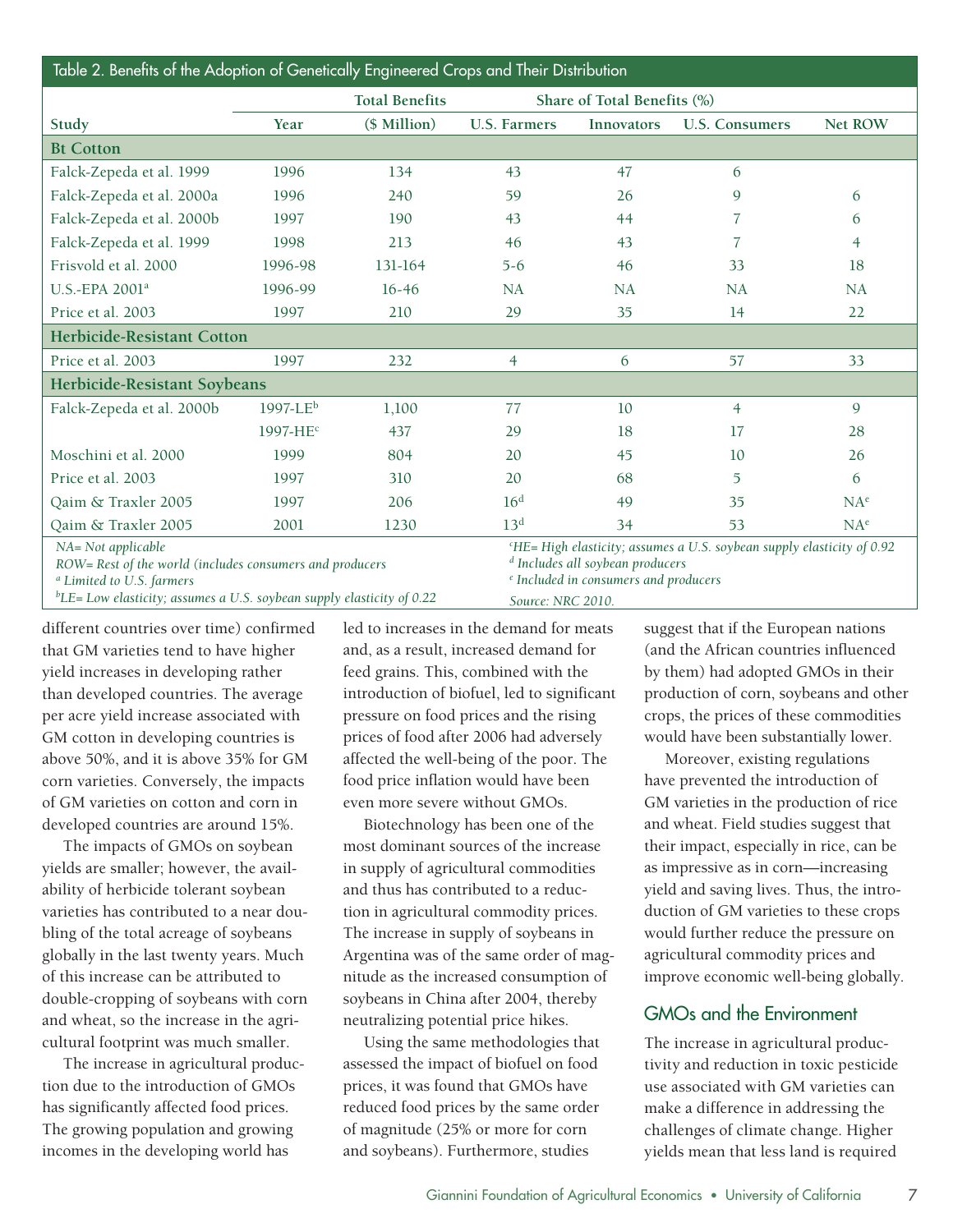| Table 2. Benefits of the Adoption of Genetically Engineered Crops and Their Distribution                                                                                                                |                         |                       |                     |                                                                                                                                                                                                           |                       |                 |  |  |  |
|---------------------------------------------------------------------------------------------------------------------------------------------------------------------------------------------------------|-------------------------|-----------------------|---------------------|-----------------------------------------------------------------------------------------------------------------------------------------------------------------------------------------------------------|-----------------------|-----------------|--|--|--|
|                                                                                                                                                                                                         |                         | <b>Total Benefits</b> |                     | Share of Total Benefits (%)                                                                                                                                                                               |                       |                 |  |  |  |
| Study                                                                                                                                                                                                   | Year                    | (\$ Million)          | <b>U.S. Farmers</b> | Innovators                                                                                                                                                                                                | <b>U.S. Consumers</b> | <b>Net ROW</b>  |  |  |  |
| <b>Bt Cotton</b>                                                                                                                                                                                        |                         |                       |                     |                                                                                                                                                                                                           |                       |                 |  |  |  |
| Falck-Zepeda et al. 1999                                                                                                                                                                                | 1996                    | 134                   | 43                  | 47                                                                                                                                                                                                        | 6                     |                 |  |  |  |
| Falck-Zepeda et al. 2000a                                                                                                                                                                               | 1996                    | 240                   | 59                  | 26                                                                                                                                                                                                        | 9                     | 6               |  |  |  |
| Falck-Zepeda et al. 2000b                                                                                                                                                                               | 1997                    | 190                   | 43                  | 44                                                                                                                                                                                                        | 7                     | 6               |  |  |  |
| Falck-Zepeda et al. 1999                                                                                                                                                                                | 1998                    | 213                   | 46                  | 43                                                                                                                                                                                                        | 7                     | $\overline{4}$  |  |  |  |
| Frisvold et al. 2000                                                                                                                                                                                    | 1996-98                 | 131-164               | $5 - 6$             | 46                                                                                                                                                                                                        | 33                    | 18              |  |  |  |
| U.S.-EPA 2001 <sup>a</sup>                                                                                                                                                                              | 1996-99                 | $16-46$               | NA                  | <b>NA</b>                                                                                                                                                                                                 | <b>NA</b>             | NA              |  |  |  |
| Price et al. 2003                                                                                                                                                                                       | 1997                    | 210                   | 29                  | 35                                                                                                                                                                                                        | 14                    | 22              |  |  |  |
| <b>Herbicide-Resistant Cotton</b>                                                                                                                                                                       |                         |                       |                     |                                                                                                                                                                                                           |                       |                 |  |  |  |
| Price et al. 2003                                                                                                                                                                                       | 1997                    | 232                   | $\overline{4}$      | 6                                                                                                                                                                                                         | 57                    | 33              |  |  |  |
| Herbicide-Resistant Soybeans                                                                                                                                                                            |                         |                       |                     |                                                                                                                                                                                                           |                       |                 |  |  |  |
| Falck-Zepeda et al. 2000b                                                                                                                                                                               | $1997$ -LE <sup>b</sup> | 1,100                 | 77                  | 10                                                                                                                                                                                                        | $\overline{4}$        | 9               |  |  |  |
|                                                                                                                                                                                                         | 1997-HE <sup>c</sup>    | 437                   | 29                  | 18                                                                                                                                                                                                        | 17                    | 28              |  |  |  |
| Moschini et al. 2000                                                                                                                                                                                    | 1999                    | 804                   | 20                  | 45                                                                                                                                                                                                        | 10                    | 26              |  |  |  |
| Price et al. 2003                                                                                                                                                                                       | 1997                    | 310                   | 20                  | 68                                                                                                                                                                                                        | $\overline{5}$        | 6               |  |  |  |
| Qaim & Traxler 2005                                                                                                                                                                                     | 1997                    | 206                   | 16 <sup>d</sup>     | 49                                                                                                                                                                                                        | 35                    | $NA^e$          |  |  |  |
| Qaim & Traxler 2005                                                                                                                                                                                     | 2001                    | 1230                  | 13 <sup>d</sup>     | 34                                                                                                                                                                                                        | 53                    | NA <sup>e</sup> |  |  |  |
| NA= Not applicable<br>ROW= Rest of the world (includes consumers and producers<br><sup>a</sup> Limited to U.S. farmers<br>${}^{b}$ LE= Low elasticity; assumes a U.S. soybean supply elasticity of 0.22 |                         |                       |                     | <sup>c</sup> HE=High elasticity; assumes a U.S. soybean supply elasticity of 0.92<br><sup>d</sup> Includes all soybean producers<br><sup>e</sup> Included in consumers and producers<br>Source: NRC 2010. |                       |                 |  |  |  |

different countries over time) confirmed that GM varieties tend to have higher yield increases in developing rather than developed countries. The average per acre yield increase associated with GM cotton in developing countries is above 50%, and it is above 35% for GM corn varieties. Conversely, the impacts of GM varieties on cotton and corn in developed countries are around 15%.

The impacts of GMOs on soybean yields are smaller; however, the availability of herbicide tolerant soybean varieties has contributed to a near doubling of the total acreage of soybeans globally in the last twenty years. Much of this increase can be attributed to double-cropping of soybeans with corn and wheat, so the increase in the agricultural footprint was much smaller.

The increase in agricultural production due to the introduction of GMOs has significantly affected food prices. The growing population and growing incomes in the developing world has

led to increases in the demand for meats and, as a result, increased demand for feed grains. This, combined with the introduction of biofuel, led to significant pressure on food prices and the rising prices of food after 2006 had adversely affected the well-being of the poor. The food price inflation would have been even more severe without GMOs.

Biotechnology has been one of the most dominant sources of the increase in supply of agricultural commodities and thus has contributed to a reduction in agricultural commodity prices. The increase in supply of soybeans in Argentina was of the same order of magnitude as the increased consumption of soybeans in China after 2004, thereby neutralizing potential price hikes.

Using the same methodologies that assessed the impact of biofuel on food prices, it was found that GMOs have reduced food prices by the same order of magnitude (25% or more for corn and soybeans). Furthermore, studies

suggest that if the European nations (and the African countries influenced by them) had adopted GMOs in their production of corn, soybeans and other crops, the prices of these commodities would have been substantially lower.

Moreover, existing regulations have prevented the introduction of GM varieties in the production of rice and wheat. Field studies suggest that their impact, especially in rice, can be as impressive as in corn—increasing yield and saving lives. Thus, the introduction of GM varieties to these crops would further reduce the pressure on agricultural commodity prices and improve economic well-being globally.

## GMOs and the Environment

The increase in agricultural productivity and reduction in toxic pesticide use associated with GM varieties can make a difference in addressing the challenges of climate change. Higher yields mean that less land is required